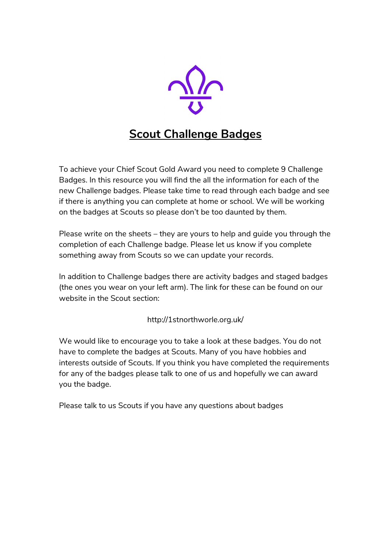

## **Scout Challenge Badges**

To achieve your Chief Scout Gold Award you need to complete 9 Challenge Badges. In this resource you will find the all the information for each of the new Challenge badges. Please take time to read through each badge and see if there is anything you can complete at home or school. We will be working on the badges at Scouts so please don't be too daunted by them.

Please write on the sheets – they are yours to help and guide you through the completion of each Challenge badge. Please let us know if you complete something away from Scouts so we can update your records.

In addition to Challenge badges there are activity badges and staged badges (the ones you wear on your left arm). The link for these can be found on our website in the Scout section:

http://1stnorthworle.org.uk/

We would like to encourage you to take a look at these badges. You do not have to complete the badges at Scouts. Many of you have hobbies and interests outside of Scouts. If you think you have completed the requirements for any of the badges please talk to one of us and hopefully we can award you the badge.

Please talk to us Scouts if you have any questions about badges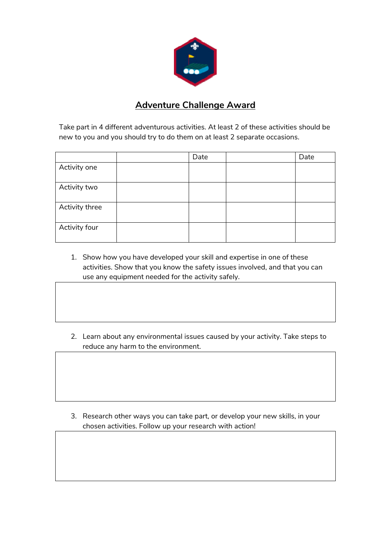

#### **Adventure Challenge Award**

Take part in 4 different adventurous activities. At least 2 of these activities should be new to you and you should try to do them on at least 2 separate occasions.

|                | Date | Date |
|----------------|------|------|
| Activity one   |      |      |
|                |      |      |
| Activity two   |      |      |
|                |      |      |
| Activity three |      |      |
|                |      |      |
| Activity four  |      |      |
|                |      |      |

- 1. Show how you have developed your skill and expertise in one of these activities. Show that you know the safety issues involved, and that you can use any equipment needed for the activity safely.
- 2. Learn about any environmental issues caused by your activity. Take steps to reduce any harm to the environment.

3. Research other ways you can take part, or develop your new skills, in your chosen activities. Follow up your research with action!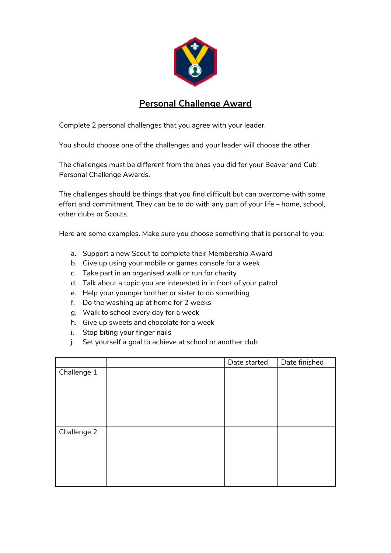

## **Personal Challenge Award**

Complete 2 personal challenges that you agree with your leader.

You should choose one of the challenges and your leader will choose the other.

The challenges must be different from the ones you did for your Beaver and Cub Personal Challenge Awards.

The challenges should be things that you find difficult but can overcome with some effort and commitment. They can be to do with any part of your life – home, school, other clubs or Scouts.

Here are some examples. Make sure you choose something that is personal to you:

- a. Support a new Scout to complete their Membership Award
- b. Give up using your mobile or games console for a week
- c. Take part in an organised walk or run for charity
- d. Talk about a topic you are interested in in front of your patrol
- e. Help your younger brother or sister to do something
- f. Do the washing up at home for 2 weeks
- g. Walk to school every day for a week
- h. Give up sweets and chocolate for a week
- i. Stop biting your finger nails
- j. Set yourself a goal to achieve at school or another club

|             | Date started | Date finished |
|-------------|--------------|---------------|
| Challenge 1 |              |               |
|             |              |               |
|             |              |               |
|             |              |               |
|             |              |               |
|             |              |               |
| Challenge 2 |              |               |
|             |              |               |
|             |              |               |
|             |              |               |
|             |              |               |
|             |              |               |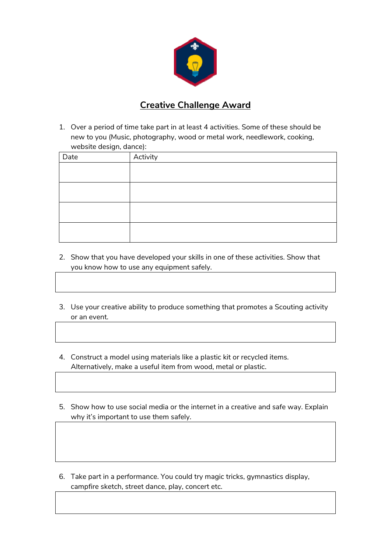

#### **Creative Challenge Award**

1. Over a period of time take part in at least 4 activities. Some of these should be new to you (Music, photography, wood or metal work, needlework, cooking, website design, dance):

| Date | Activity |
|------|----------|
|      |          |
|      |          |
|      |          |
|      |          |
|      |          |
|      |          |
|      |          |
|      |          |

- 2. Show that you have developed your skills in one of these activities. Show that you know how to use any equipment safely.
- 3. Use your creative ability to produce something that promotes a Scouting activity or an event.
- 4. Construct a model using materials like a plastic kit or recycled items. Alternatively, make a useful item from wood, metal or plastic.
- 5. Show how to use social media or the internet in a creative and safe way. Explain why it's important to use them safely.
- 6. Take part in a performance. You could try magic tricks, gymnastics display, campfire sketch, street dance, play, concert etc.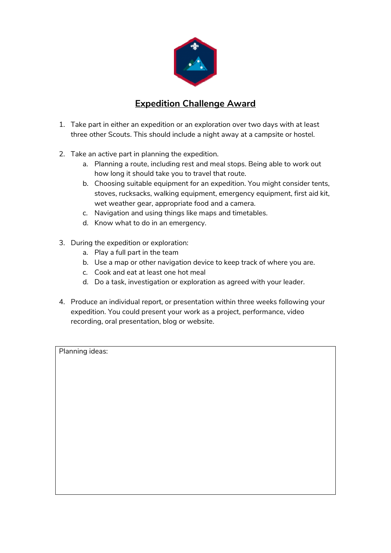

## **Expedition Challenge Award**

- 1. Take part in either an expedition or an exploration over two days with at least three other Scouts. This should include a night away at a campsite or hostel.
- 2. Take an active part in planning the expedition.
	- a. Planning a route, including rest and meal stops. Being able to work out how long it should take you to travel that route.
	- b. Choosing suitable equipment for an expedition. You might consider tents, stoves, rucksacks, walking equipment, emergency equipment, first aid kit, wet weather gear, appropriate food and a camera.
	- c. Navigation and using things like maps and timetables.
	- d. Know what to do in an emergency.
- 3. During the expedition or exploration:
	- a. Play a full part in the team
	- b. Use a map or other navigation device to keep track of where you are.
	- c. Cook and eat at least one hot meal
	- d. Do a task, investigation or exploration as agreed with your leader.
- 4. Produce an individual report, or presentation within three weeks following your expedition. You could present your work as a project, performance, video recording, oral presentation, blog or website.

Planning ideas: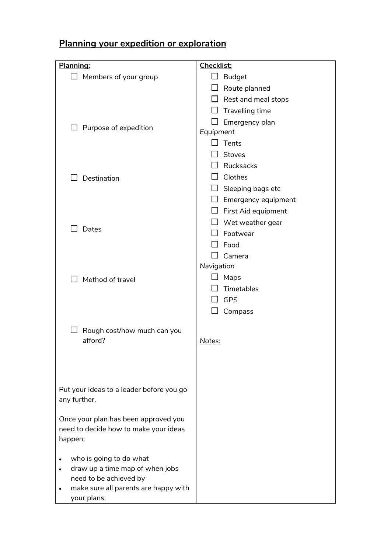# **Planning your expedition or exploration**

| Planning:                                                                     | <b>Checklist:</b>          |
|-------------------------------------------------------------------------------|----------------------------|
| Members of your group                                                         | <b>Budget</b>              |
|                                                                               | Route planned              |
|                                                                               | Rest and meal stops        |
|                                                                               | Travelling time            |
|                                                                               | Emergency plan             |
| Purpose of expedition                                                         | Equipment                  |
|                                                                               | Tents                      |
|                                                                               | Stoves                     |
|                                                                               | Rucksacks                  |
| Destination                                                                   | Clothes                    |
|                                                                               | Sleeping bags etc          |
|                                                                               | $\Box$ Emergency equipment |
|                                                                               | First Aid equipment        |
|                                                                               | Wet weather gear           |
| Dates                                                                         | Footwear                   |
|                                                                               | Food                       |
|                                                                               | Camera                     |
|                                                                               | Navigation                 |
| Method of travel                                                              | Maps                       |
|                                                                               | Timetables                 |
|                                                                               | <b>GPS</b>                 |
|                                                                               | Compass                    |
|                                                                               |                            |
| Rough cost/how much can you                                                   |                            |
| afford?                                                                       | Notes:                     |
|                                                                               |                            |
|                                                                               |                            |
|                                                                               |                            |
| Put your ideas to a leader before you go                                      |                            |
| any further.                                                                  |                            |
|                                                                               |                            |
| Once your plan has been approved you<br>need to decide how to make your ideas |                            |
| happen:                                                                       |                            |
|                                                                               |                            |
| who is going to do what<br>٠                                                  |                            |
| draw up a time map of when jobs                                               |                            |
| need to be achieved by                                                        |                            |
| make sure all parents are happy with                                          |                            |
| your plans.                                                                   |                            |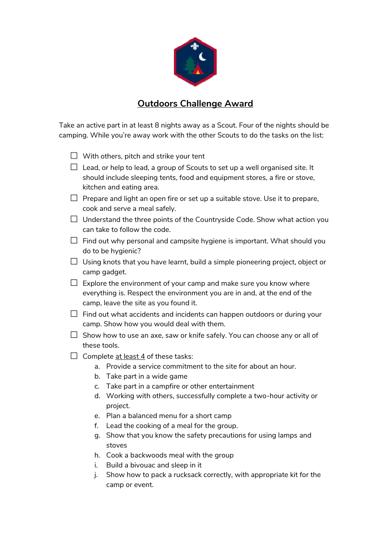

#### **Outdoors Challenge Award**

Take an active part in at least 8 nights away as a Scout. Four of the nights should be camping. While you're away work with the other Scouts to do the tasks on the list:

- $\Box$  With others, pitch and strike your tent
- $\Box$  Lead, or help to lead, a group of Scouts to set up a well organised site. It should include sleeping tents, food and equipment stores, a fire or stove, kitchen and eating area.
- $\Box$  Prepare and light an open fire or set up a suitable stove. Use it to prepare, cook and serve a meal safely.
- $\Box$  Understand the three points of the Countryside Code. Show what action you can take to follow the code.
- $\square$  Find out why personal and campsite hygiene is important. What should you do to be hygienic?
- $\Box$  Using knots that you have learnt, build a simple pioneering project, object or camp gadget.
- $\Box$  Explore the environment of your camp and make sure you know where everything is. Respect the environment you are in and, at the end of the camp, leave the site as you found it.
- $\Box$  Find out what accidents and incidents can happen outdoors or during your camp. Show how you would deal with them.
- $\square$  Show how to use an axe, saw or knife safely. You can choose any or all of these tools.
- $\Box$  Complete at least 4 of these tasks:
	- a. Provide a service commitment to the site for about an hour.
	- b. Take part in a wide game
	- c. Take part in a campfire or other entertainment
	- d. Working with others, successfully complete a two-hour activity or project.
	- e. Plan a balanced menu for a short camp
	- f. Lead the cooking of a meal for the group.
	- g. Show that you know the safety precautions for using lamps and stoves
	- h. Cook a backwoods meal with the group
	- i. Build a bivouac and sleep in it
	- j. Show how to pack a rucksack correctly, with appropriate kit for the camp or event.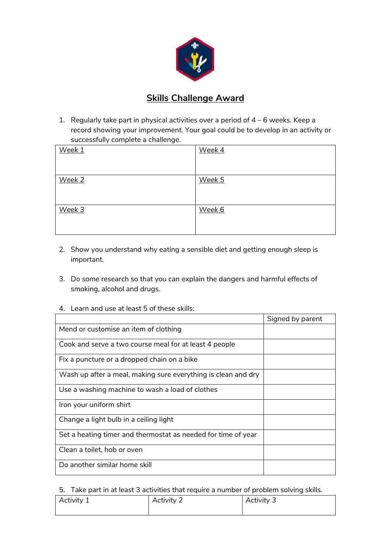

#### **Skills Challenge Award**

1. Regularly take part in physical activities over a period of 4 – 6 weeks. Keep a record showing your improvement. Your goal could be to develop in an activity or successfully complete a challenge.

| Week 1 | Week 4 |
|--------|--------|
| Week 2 | Week 5 |
| Week 3 | Week 6 |

- 2. Show you understand why eating a sensible diet and getting enough sleep is important.
- 3. Do some research so that you can explain the dangers and harmful effects of smoking, alcohol and drugs.
- Signed by parent Mend or customise an item of clothing Cook and serve a two course meal for at least 4 people Fix a puncture or a dropped chain on a bike Wash up after a meal, making sure everything is clean and dry Use a washing machine to wash a load of clothes Iron your uniform shirt Change a light bulb in a ceiling light Set a heating timer and thermostat as needed for time of year Clean a toilet, hob or oven Do another similar home skill
- 4. Learn and use at least 5 of these skills:

5. Take part in at least 3 activities that require a number of problem solving skills.

| Activity 1 | Activity 2 | Activity 3 |
|------------|------------|------------|
|            |            |            |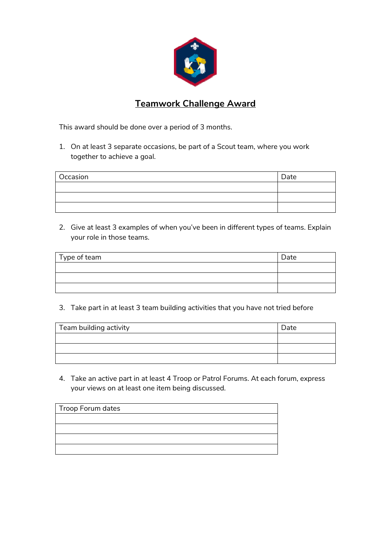

## **Teamwork Challenge Award**

This award should be done over a period of 3 months.

1. On at least 3 separate occasions, be part of a Scout team, where you work together to achieve a goal.

| Occasion | Date |
|----------|------|
|          |      |
|          |      |
|          |      |

2. Give at least 3 examples of when you've been in different types of teams. Explain your role in those teams.

| Type of team | Date |
|--------------|------|
|              |      |
|              |      |
|              |      |

3. Take part in at least 3 team building activities that you have not tried before

| Team building activity | Date |
|------------------------|------|
|                        |      |
|                        |      |
|                        |      |

4. Take an active part in at least 4 Troop or Patrol Forums. At each forum, express your views on at least one item being discussed.

| Troop Forum dates |  |  |
|-------------------|--|--|
|                   |  |  |
|                   |  |  |
|                   |  |  |
|                   |  |  |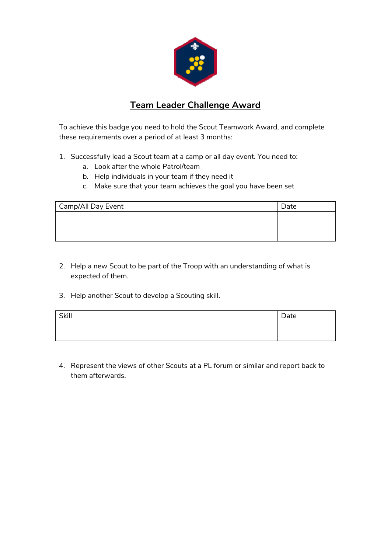

## **Team Leader Challenge Award**

To achieve this badge you need to hold the Scout Teamwork Award, and complete these requirements over a period of at least 3 months:

- 1. Successfully lead a Scout team at a camp or all day event. You need to:
	- a. Look after the whole Patrol/team
	- b. Help individuals in your team if they need it
	- c. Make sure that your team achieves the goal you have been set

| Camp/All Day Event | Date |
|--------------------|------|
|                    |      |
|                    |      |
|                    |      |

- 2. Help a new Scout to be part of the Troop with an understanding of what is expected of them.
- 3. Help another Scout to develop a Scouting skill.

| Skill | Date |
|-------|------|
|       |      |
|       |      |

4. Represent the views of other Scouts at a PL forum or similar and report back to them afterwards.